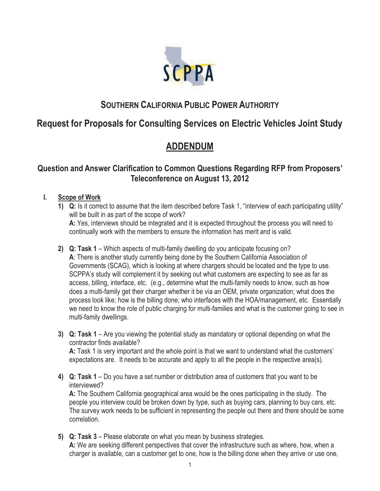

## **SOUTHERN CALIFORNIA PUBLIC POWER AUTHORITY**

# **Request for Proposals for Consulting Services on Electric Vehicles Joint Study**

# **ADDENDUM**

## **Question and Answer Clarification to Common Questions Regarding RFP from Proposers' Teleconference on August 13, 2012**

### **I. Scope of Work**

- **1) Q:** Is it correct to assume that the item described before Task 1, "interview of each participating utility" will be built in as part of the scope of work? **A:** Yes, interviews should be integrated and it is expected throughout the process you will need to continually work with the members to ensure the information has merit and is valid.
- **2) Q: Task 1** Which aspects of multi-family dwelling do you anticipate focusing on? **A**: There is another study currently being done by the Southern California Association of Governments (SCAG), which is looking at where chargers should be located and the type to use. SCPPA's study will complement it by seeking out what customers are expecting to see as far as access, billing, interface, etc. (e.g., determine what the multi-family needs to know, such as how does a multi-family get their charger whether it be via an OEM, private organization; what does the process look like; how is the billing done; who interfaces with the HOA/management, etc. Essentially we need to know the role of public charging for multi-families and what is the customer going to see in multi-family dwellings.
- **3) Q: Task 1** Are you viewing the potential study as mandatory or optional depending on what the contractor finds available?

**A:** Task 1 is very important and the whole point is that we want to understand what the customers' expectations are. It needs to be accurate and apply to all the people in the respective area(s).

**4) Q: Task 1** – Do you have a set number or distribution area of customers that you want to be interviewed?

**A:** The Southern California geographical area would be the ones participating in the study. The people you interview could be broken down by type, such as buying cars, planning to buy cars, etc. The survey work needs to be sufficient in representing the people out there and there should be some correlation.

**5) Q: Task 3** – Please elaborate on what you mean by business strategies. **A:** We are seeking different perspectives that cover the infrastructure such as where, how, when a charger is available, can a customer get to one, how is the billing done when they arrive or use one,